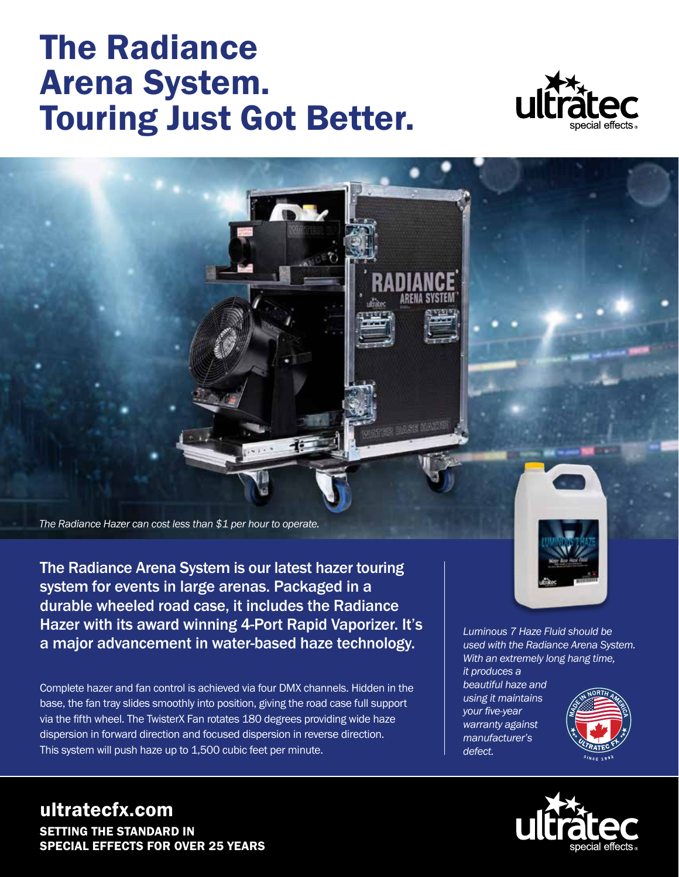## The Radiance Arena System. Touring Just Got Better.



*The Radiance Hazer can cost less than \$1 per hour to operate.*

The Radiance Arena System is our latest hazer touring system for events in large arenas. Packaged in a durable wheeled road case, it includes the Radiance Hazer with its award winning 4-Port Rapid Vaporizer. It's a major advancement in water-based haze technology.

Complete hazer and fan control is achieved via four DMX channels. Hidden in the base, the fan tray slides smoothly into position, giving the road case full support via the fifth wheel. The TwisterX Fan rotates 180 degrees providing wide haze dispersion in forward direction and focused dispersion in reverse direction. This system will push haze up to 1,500 cubic feet per minute.



*Luminous 7 Haze Fluid should be used with the Radiance Arena System. With an extremely long hang time, it produces a* 

*beautiful haze and using it maintains your five-year warranty against manufacturer's defect.*





ultratecfx.com SETTING THE STANDARD IN SPECIAL EFFECTS FOR OVER 25 YEARS